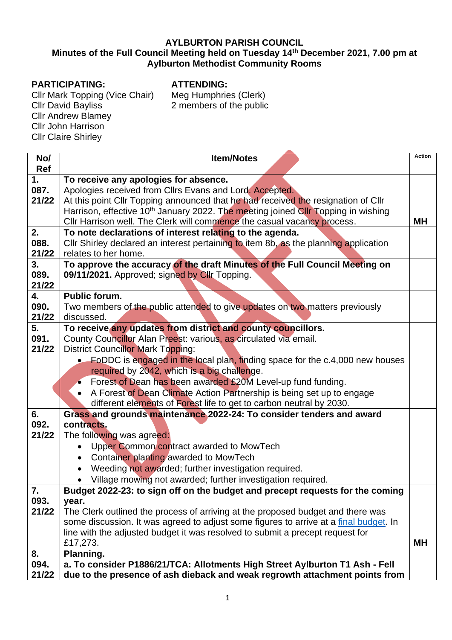## **AYLBURTON PARISH COUNCIL**

## **Minutes of the Full Council Meeting held on Tuesday 14th December 2021, 7.00 pm at Aylburton Methodist Community Rooms**

## **PARTICIPATING:**

Cllr Mark Topping (Vice Chair) Cllr David Bayliss Cllr Andrew Blamey Cllr John Harrison Cllr Claire Shirley

**ATTENDING:**

Meg Humphries (Clerk) 2 members of the public

| No/<br><b>Ref</b>   | <b>Item/Notes</b>                                                                                                                                                                                                                                                                                                                                                                                                                                                                                                            | <b>Action</b> |  |  |
|---------------------|------------------------------------------------------------------------------------------------------------------------------------------------------------------------------------------------------------------------------------------------------------------------------------------------------------------------------------------------------------------------------------------------------------------------------------------------------------------------------------------------------------------------------|---------------|--|--|
| 1.<br>087.<br>21/22 | To receive any apologies for absence.<br>Apologies received from Cllrs Evans and Lord. Accepted.<br>At this point Cllr Topping announced that he had received the resignation of Cllr<br>Harrison, effective 10 <sup>th</sup> January 2022. The meeting joined Cllr Topping in wishing<br>Cllr Harrison well. The Clerk will commence the casual vacancy process.                                                                                                                                                            | <b>MH</b>     |  |  |
| 2.<br>088.<br>21/22 | To note declarations of interest relating to the agenda.<br>Cllr Shirley declared an interest pertaining to item 8b, as the planning application<br>relates to her home.                                                                                                                                                                                                                                                                                                                                                     |               |  |  |
| 3.<br>089.<br>21/22 | To approve the accuracy of the draft Minutes of the Full Council Meeting on<br>09/11/2021. Approved; signed by Cllr Topping.                                                                                                                                                                                                                                                                                                                                                                                                 |               |  |  |
| 4.<br>090.<br>21/22 | <b>Public forum.</b><br>Two members of the public attended to give updates on two matters previously<br>discussed.                                                                                                                                                                                                                                                                                                                                                                                                           |               |  |  |
| 5.<br>091.<br>21/22 | To receive any updates from district and county councillors.<br>County Councillor Alan Preest: various, as circulated via email.<br><b>District Councillor Mark Topping:</b><br>• FoDDC is engaged in the local plan, finding space for the c.4,000 new houses<br>required by 2042, which is a big challenge.<br>Forest of Dean has been awarded £20M Level-up fund funding.<br>A Forest of Dean Climate Action Partnership is being set up to engage<br>different elements of Forest life to get to carbon neutral by 2030. |               |  |  |
| 6.<br>092.<br>21/22 | Grass and grounds maintenance 2022-24: To consider tenders and award<br>contracts.<br>The following was agreed:<br>Upper Common contract awarded to MowTech<br>Container planting awarded to MowTech<br>$\bullet$<br>Weeding not awarded; further investigation required.<br>• Village mowing not awarded; further investigation required.                                                                                                                                                                                   |               |  |  |
| 7.<br>093.<br>21/22 | Budget 2022-23: to sign off on the budget and precept requests for the coming<br>year.<br>The Clerk outlined the process of arriving at the proposed budget and there was<br>some discussion. It was agreed to adjust some figures to arrive at a final budget. In<br>line with the adjusted budget it was resolved to submit a precept request for<br>£17,273.                                                                                                                                                              | <b>MH</b>     |  |  |
| 8.<br>094.<br>21/22 | Planning.<br>a. To consider P1886/21/TCA: Allotments High Street Aylburton T1 Ash - Fell<br>due to the presence of ash dieback and weak regrowth attachment points from                                                                                                                                                                                                                                                                                                                                                      |               |  |  |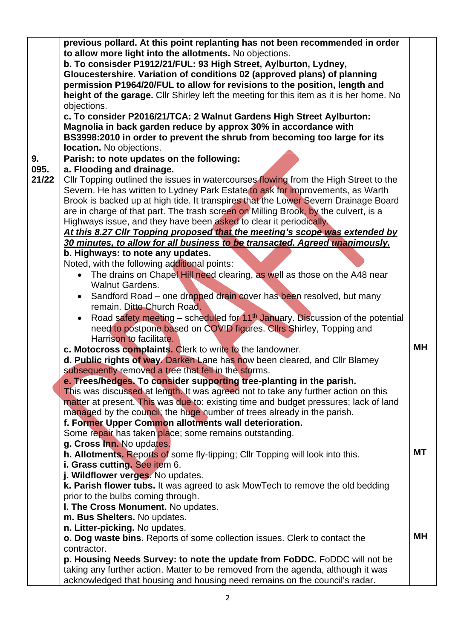|       | previous pollard. At this point replanting has not been recommended in order<br>to allow more light into the allotments. No objections.<br>b. To consisder P1912/21/FUL: 93 High Street, Aylburton, Lydney,<br>Gloucestershire. Variation of conditions 02 (approved plans) of planning<br>permission P1964/20/FUL to allow for revisions to the position, length and<br>height of the garage. Cllr Shirley left the meeting for this item as it is her home. No<br>objections.<br>c. To consider P2016/21/TCA: 2 Walnut Gardens High Street Aylburton:<br>Magnolia in back garden reduce by approx 30% in accordance with<br>BS3998:2010 in order to prevent the shrub from becoming too large for its<br>location. No objections. |           |
|-------|-------------------------------------------------------------------------------------------------------------------------------------------------------------------------------------------------------------------------------------------------------------------------------------------------------------------------------------------------------------------------------------------------------------------------------------------------------------------------------------------------------------------------------------------------------------------------------------------------------------------------------------------------------------------------------------------------------------------------------------|-----------|
| 9.    | Parish: to note updates on the following:                                                                                                                                                                                                                                                                                                                                                                                                                                                                                                                                                                                                                                                                                           |           |
| 095.  | a. Flooding and drainage.                                                                                                                                                                                                                                                                                                                                                                                                                                                                                                                                                                                                                                                                                                           |           |
| 21/22 | Cllr Topping outlined the issues in watercourses flowing from the High Street to the<br>Severn. He has written to Lydney Park Estate to ask for improvements, as Warth<br>Brook is backed up at high tide. It transpires that the Lower Severn Drainage Board<br>are in charge of that part. The trash screen on Milling Brook, by the culvert, is a<br>Highways issue, and they have been asked to clear it periodically.<br>At this 8.27 Cllr Topping proposed that the meeting's scope was extended by                                                                                                                                                                                                                           |           |
|       | 30 minutes, to allow for all business to be transacted. Agreed unanimously.                                                                                                                                                                                                                                                                                                                                                                                                                                                                                                                                                                                                                                                         |           |
|       | b. Highways: to note any updates.                                                                                                                                                                                                                                                                                                                                                                                                                                                                                                                                                                                                                                                                                                   |           |
|       | Noted, with the following additional points:                                                                                                                                                                                                                                                                                                                                                                                                                                                                                                                                                                                                                                                                                        |           |
|       | The drains on Chapel Hill need clearing, as well as those on the A48 near                                                                                                                                                                                                                                                                                                                                                                                                                                                                                                                                                                                                                                                           |           |
|       | <b>Walnut Gardens.</b>                                                                                                                                                                                                                                                                                                                                                                                                                                                                                                                                                                                                                                                                                                              |           |
|       | Sandford Road - one dropped drain cover has been resolved, but many                                                                                                                                                                                                                                                                                                                                                                                                                                                                                                                                                                                                                                                                 |           |
|       | remain. Ditto Church Road.                                                                                                                                                                                                                                                                                                                                                                                                                                                                                                                                                                                                                                                                                                          |           |
|       | Road safety meeting – scheduled for $11th$ January. Discussion of the potential<br>need to postpone based on COVID figures. Cllrs Shirley, Topping and<br>Harrison to facilitate.                                                                                                                                                                                                                                                                                                                                                                                                                                                                                                                                                   |           |
|       | c. Motocross complaints. Clerk to write to the landowner.                                                                                                                                                                                                                                                                                                                                                                                                                                                                                                                                                                                                                                                                           | <b>MH</b> |
|       | d. Public rights of way. Darken Lane has now been cleared, and Cllr Blamey                                                                                                                                                                                                                                                                                                                                                                                                                                                                                                                                                                                                                                                          |           |
|       | subsequently removed a tree that fell in the storms.                                                                                                                                                                                                                                                                                                                                                                                                                                                                                                                                                                                                                                                                                |           |
|       | e. Trees/hedges. To consider supporting tree-planting in the parish.                                                                                                                                                                                                                                                                                                                                                                                                                                                                                                                                                                                                                                                                |           |
|       | This was discussed at length. It was agreed not to take any further action on this                                                                                                                                                                                                                                                                                                                                                                                                                                                                                                                                                                                                                                                  |           |
|       | matter at present. This was due to: existing time and budget pressures; lack of land                                                                                                                                                                                                                                                                                                                                                                                                                                                                                                                                                                                                                                                |           |
|       | managed by the council; the huge number of trees already in the parish.                                                                                                                                                                                                                                                                                                                                                                                                                                                                                                                                                                                                                                                             |           |
|       | f. Former Upper Common allotments wall deterioration.                                                                                                                                                                                                                                                                                                                                                                                                                                                                                                                                                                                                                                                                               |           |
|       | Some repair has taken place; some remains outstanding.                                                                                                                                                                                                                                                                                                                                                                                                                                                                                                                                                                                                                                                                              |           |
|       | g. Cross Inn. No updates.<br>h. Allotments. Reports of some fly-tipping; Cllr Topping will look into this.                                                                                                                                                                                                                                                                                                                                                                                                                                                                                                                                                                                                                          | <b>MT</b> |
|       | i. Grass cutting. See item 6.                                                                                                                                                                                                                                                                                                                                                                                                                                                                                                                                                                                                                                                                                                       |           |
|       | j. Wildflower verges. No updates.                                                                                                                                                                                                                                                                                                                                                                                                                                                                                                                                                                                                                                                                                                   |           |
|       | k. Parish flower tubs. It was agreed to ask MowTech to remove the old bedding                                                                                                                                                                                                                                                                                                                                                                                                                                                                                                                                                                                                                                                       |           |
|       | prior to the bulbs coming through.                                                                                                                                                                                                                                                                                                                                                                                                                                                                                                                                                                                                                                                                                                  |           |
|       | I. The Cross Monument. No updates.                                                                                                                                                                                                                                                                                                                                                                                                                                                                                                                                                                                                                                                                                                  |           |
|       | m. Bus Shelters. No updates.                                                                                                                                                                                                                                                                                                                                                                                                                                                                                                                                                                                                                                                                                                        |           |
|       | n. Litter-picking. No updates.                                                                                                                                                                                                                                                                                                                                                                                                                                                                                                                                                                                                                                                                                                      |           |
|       | <b>o. Dog waste bins.</b> Reports of some collection issues. Clerk to contact the                                                                                                                                                                                                                                                                                                                                                                                                                                                                                                                                                                                                                                                   | MН        |
|       | contractor.                                                                                                                                                                                                                                                                                                                                                                                                                                                                                                                                                                                                                                                                                                                         |           |
|       | p. Housing Needs Survey: to note the update from FoDDC. FoDDC will not be<br>taking any further action. Matter to be removed from the agenda, although it was                                                                                                                                                                                                                                                                                                                                                                                                                                                                                                                                                                       |           |
|       | acknowledged that housing and housing need remains on the council's radar.                                                                                                                                                                                                                                                                                                                                                                                                                                                                                                                                                                                                                                                          |           |
|       |                                                                                                                                                                                                                                                                                                                                                                                                                                                                                                                                                                                                                                                                                                                                     |           |